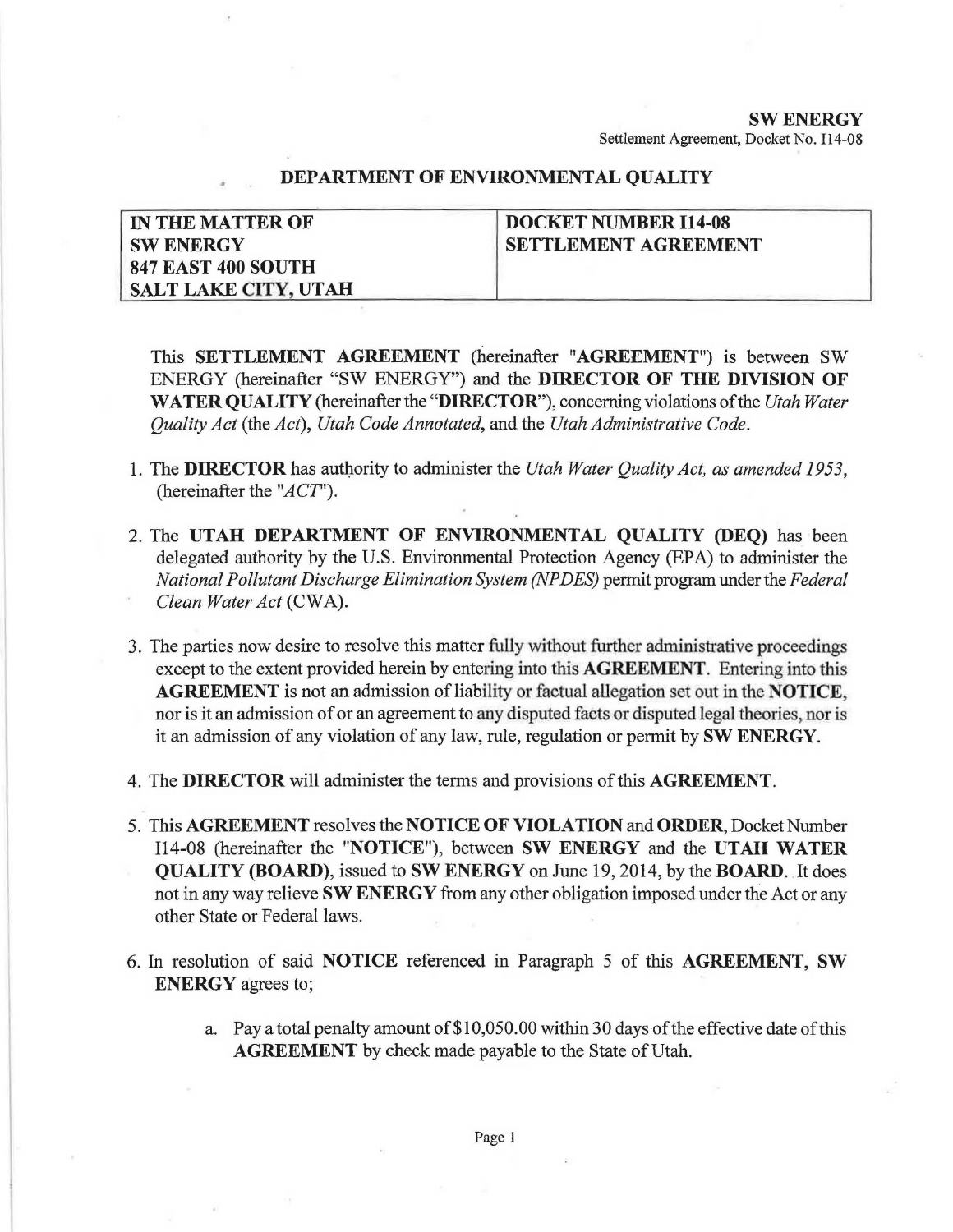## SW ENERGY Settlement Agreement, Docket No. 114-08

## DEPARTMENT OF ENVIRONMENTAL QUALITY

| <b>IN THE MATTER OF</b>     | DOCKET NUMBER I14-08        |
|-----------------------------|-----------------------------|
| <b>SW ENERGY</b>            | <b>SETTLEMENT AGREEMENT</b> |
| <b>847 EAST 400 SOUTH</b>   |                             |
| <b>SALT LAKE CITY, UTAH</b> |                             |

This SETTLEMENT AGREEMENT (hereinafter "AGREEMENT") is between SW ENERGY (hereinafter "SW ENERGY") and the DIRECTOR OF THE DIVISION OF WATER QUALITY (hereinafter the "DIRECTOR"), concerning violations of the *Utah Water Quality Act* (the *Act), Utah Code Annotated,* and the *Utah Administrative Code.* 

- 1. The DIRECTOR has authority to administer the *Utah Water Quality Act, as amended 1953,*  (hereinafter the *"ACT').*
- 2. The UTAH DEPARTMENT OF ENVIRONMENTAL QUALITY (DEQ) has been delegated authority by the U.S. Environmental Protection Agency (EPA) to administer the *National Pollutant Discharge Elimination System (NP DES)* permit program under the *Federal Clean Water Act* (CWA).
- 3. The parties now desire to resolve this matter fully without further administrative proceedings except to the extent provided herein by entering into this **AGREEMENT**. Entering into this AGREEMENT is not an admission of liability or factual allegation set out in the NOTICE, nor is it an admission of or an agreement to any disputed facts or disputed legal theories nor is it an admission of any violation of any law, rule, regulation or permit by SW ENERGY.
- 4. The DIRECTOR will administer the terms and provisions of this AGREEMENT.
- 5. This AGREEMENT resolves the NOTICE OF VIOLATION and ORDER, Docket Number 114-08 (hereinafter the "NOTICE"), between SW ENERGY and the UTAH WATER QUALITY (BOARD), issued to SW ENERGY on June 19, 2014, by the BOARD . .It does not in any way relieve SW ENERGY from any other obligation imposed under the Act or any other State or Federal laws.
- 6. In resolution of said NOTICE referenced in Paragraph 5 of this AGREEMENT, SW ENERGY agrees to;
	- a. Pay a total penalty amount of \$10,050.00 within 30 days of the effective date of this AGREEMENT by check made payable to the State of Utah.